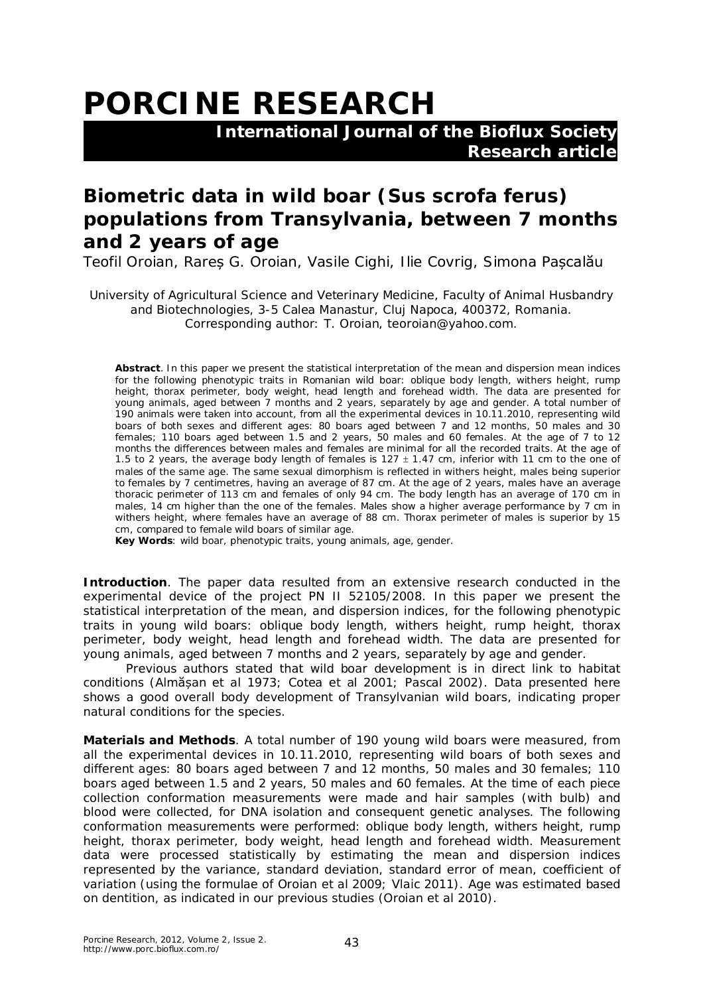## **PORCINE RESEARCH**

 **International Journal of the Bioflux Society Research article**

## **Biometric data in wild boar (***Sus scrofa ferus***) populations from Transylvania, between 7 months and 2 years of age**

Teofil Oroian, Rareș G. Oroian, Vasile Cighi, Ilie Covrig, Simona Pașcalău

University of Agricultural Science and Veterinary Medicine, Faculty of Animal Husbandry and Biotechnologies, 3-5 Calea Manastur, Cluj Napoca, 400372, Romania. Corresponding author: T. Oroian, teoroian@yahoo.com.

**Abstract**. In this paper we present the statistical interpretation of the mean and dispersion mean indices for the following phenotypic traits in Romanian wild boar: oblique body length, withers height, rump height, thorax perimeter, body weight, head length and forehead width. The data are presented for young animals, aged between 7 months and 2 years, separately by age and gender. A total number of 190 animals were taken into account, from all the experimental devices in 10.11.2010, representing wild boars of both sexes and different ages: 80 boars aged between 7 and 12 months, 50 males and 30 females; 110 boars aged between 1.5 and 2 years, 50 males and 60 females. At the age of 7 to 12 months the differences between males and females are minimal for all the recorded traits. At the age of 1.5 to 2 years, the average body length of females is 127  $\pm$  1.47 cm, inferior with 11 cm to the one of males of the same age. The same sexual dimorphism is reflected in withers height, males being superior to females by 7 centimetres, having an average of 87 cm. At the age of 2 years, males have an average thoracic perimeter of 113 cm and females of only 94 cm. The body length has an average of 170 cm in males, 14 cm higher than the one of the females. Males show a higher average performance by 7 cm in withers height, where females have an average of 88 cm. Thorax perimeter of males is superior by 15 cm, compared to female wild boars of similar age.

**Key Words**: wild boar, phenotypic traits, young animals, age, gender.

**Introduction**. The paper data resulted from an extensive research conducted in the experimental device of the project PN II 52105/2008. In this paper we present the statistical interpretation of the mean, and dispersion indices, for the following phenotypic traits in young wild boars: oblique body length, withers height, rump height, thorax perimeter, body weight, head length and forehead width. The data are presented for young animals, aged between 7 months and 2 years, separately by age and gender.

Previous authors stated that wild boar development is in direct link to habitat conditions (Almășan et al 1973; Cotea et al 2001; Pascal 2002). Data presented here shows a good overall body development of Transylvanian wild boars, indicating proper natural conditions for the species.

**Materials and Methods**. A total number of 190 young wild boars were measured, from all the experimental devices in 10.11.2010, representing wild boars of both sexes and different ages: 80 boars aged between 7 and 12 months, 50 males and 30 females; 110 boars aged between 1.5 and 2 years, 50 males and 60 females. At the time of each piece collection conformation measurements were made and hair samples (with bulb) and blood were collected, for DNA isolation and consequent genetic analyses. The following conformation measurements were performed: oblique body length, withers height, rump height, thorax perimeter, body weight, head length and forehead width. Measurement data were processed statistically by estimating the mean and dispersion indices represented by the variance, standard deviation, standard error of mean, coefficient of variation (using the formulae of Oroian et al 2009; Vlaic 2011). Age was estimated based on dentition, as indicated in our previous studies (Oroian et al 2010).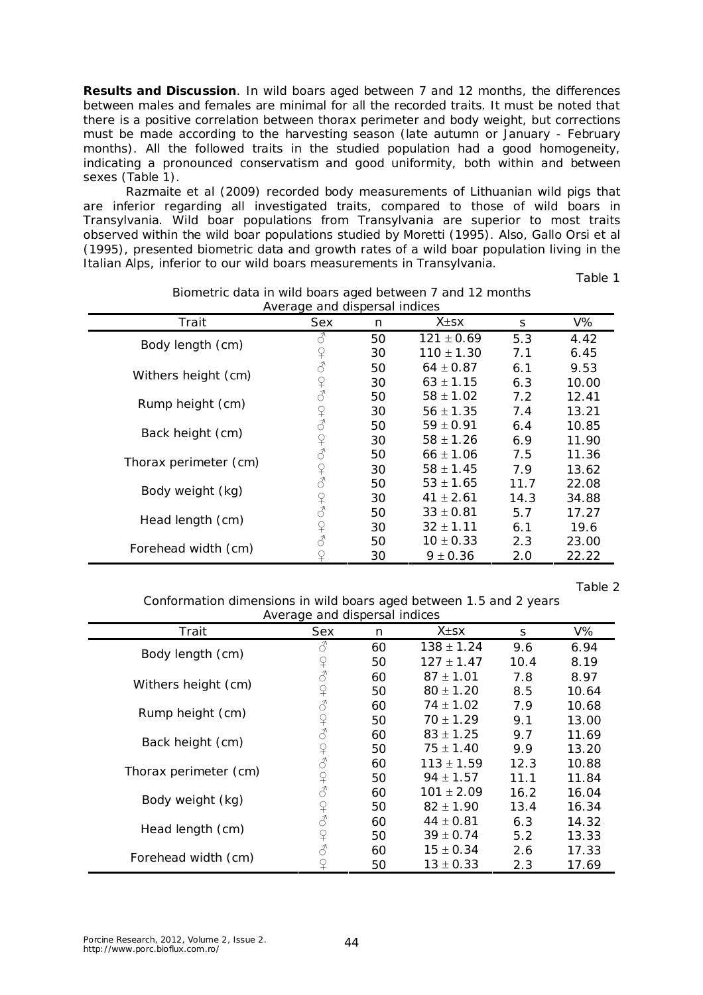**Results and Discussion**. In wild boars aged between 7 and 12 months, the differences between males and females are minimal for all the recorded traits. It must be noted that there is a positive correlation between thorax perimeter and body weight, but corrections must be made according to the harvesting season (late autumn or January - February months). All the followed traits in the studied population had a good homogeneity, indicating a pronounced conservatism and good uniformity, both within and between sexes (Table 1).

Razmaite et al (2009) recorded body measurements of Lithuanian wild pigs that are inferior regarding all investigated traits, compared to those of wild boars in Transylvania. Wild boar populations from Transylvania are superior to most traits observed within the wild boar populations studied by Moretti (1995). Also, Gallo Orsi et al (1995), presented biometric data and growth rates of a wild boar population living in the Italian Alps, inferior to our wild boars measurements in Transylvania.

Table 1

| Average and dispersal multes |                                                                                                                                                                                                                                                                                                                                                                                                                                                                                                                                                                                                                                                                 |    |                |      |       |  |  |  |  |
|------------------------------|-----------------------------------------------------------------------------------------------------------------------------------------------------------------------------------------------------------------------------------------------------------------------------------------------------------------------------------------------------------------------------------------------------------------------------------------------------------------------------------------------------------------------------------------------------------------------------------------------------------------------------------------------------------------|----|----------------|------|-------|--|--|--|--|
| Trait                        | Sex                                                                                                                                                                                                                                                                                                                                                                                                                                                                                                                                                                                                                                                             | n  | $X \pm S X$    | S    | V%    |  |  |  |  |
| Body length (cm)             |                                                                                                                                                                                                                                                                                                                                                                                                                                                                                                                                                                                                                                                                 | 50 | $121 \pm 0.69$ | 5.3  | 4.42  |  |  |  |  |
|                              | $\Omega$                                                                                                                                                                                                                                                                                                                                                                                                                                                                                                                                                                                                                                                        | 30 | $110 \pm 1.30$ | 7.1  | 6.45  |  |  |  |  |
| Withers height (cm)          | $\vec{\mathcal{C}}$                                                                                                                                                                                                                                                                                                                                                                                                                                                                                                                                                                                                                                             | 50 | $64 \pm 0.87$  | 6.1  | 9.53  |  |  |  |  |
|                              | $\begin{array}{c} \n\curvearrowleft & \curvearrowleft \\ \n\curvearrowleft & \curvearrowleft \{ \right. \\ \n\curvearrowleft & \curvearrowleft \{ \right. \right. \right. \\ \n\curvearrowleft & \curvearrowleft \{ \right. \right. \\ \n\curvearrowleft & \curvearrowleft \{ \right. \right. \\ \n\curvearrowleft & \curvearrowleft \{ \right. \right. \\ \n\curvearrowleft & \curvearrowleft \{ \right. \right. \\ \n\curvearrowleft & \curvearrowleft \{ \right. \right. \\ \n\curvearrowleft & \curvearrowleft \{ \right. \right. \\ \n\curvearrowleft & \curvearrowleft \{ \right. \right. \\ \n\curvearrowleft & \curvearrowleft \{ \right. \right. \\ \$ | 30 | $63 \pm 1.15$  | 6.3  | 10.00 |  |  |  |  |
| Rump height (cm)             |                                                                                                                                                                                                                                                                                                                                                                                                                                                                                                                                                                                                                                                                 | 50 | $58 \pm 1.02$  | 7.2  | 12.41 |  |  |  |  |
|                              |                                                                                                                                                                                                                                                                                                                                                                                                                                                                                                                                                                                                                                                                 | 30 | $56 \pm 1.35$  | 7.4  | 13.21 |  |  |  |  |
| Back height (cm)             |                                                                                                                                                                                                                                                                                                                                                                                                                                                                                                                                                                                                                                                                 | 50 | $59 \pm 0.91$  | 6.4  | 10.85 |  |  |  |  |
|                              | $\operatorname{\mathbb{Q}}$                                                                                                                                                                                                                                                                                                                                                                                                                                                                                                                                                                                                                                     | 30 | $58 \pm 1.26$  | 6.9  | 11.90 |  |  |  |  |
| Thorax perimeter (cm)        | $\mathcal{J}$                                                                                                                                                                                                                                                                                                                                                                                                                                                                                                                                                                                                                                                   | 50 | $66 \pm 1.06$  | 7.5  | 11.36 |  |  |  |  |
|                              |                                                                                                                                                                                                                                                                                                                                                                                                                                                                                                                                                                                                                                                                 | 30 | $58 \pm 1.45$  | 7.9  | 13.62 |  |  |  |  |
| Body weight (kg)             |                                                                                                                                                                                                                                                                                                                                                                                                                                                                                                                                                                                                                                                                 | 50 | $53 \pm 1.65$  | 11.7 | 22.08 |  |  |  |  |
|                              | $\begin{array}{c} \n\text{Q} \\ \text{Q} \\ \text{L} \\ \text{R} \\ \text{R} \\ \text{R} \\ \text{R} \\ \text{R} \\ \text{R} \\ \text{R} \\ \text{R} \\ \text{R} \\ \text{R} \\ \text{R} \\ \text{R} \\ \text{R} \\ \text{R} \\ \text{R} \\ \text{R} \\ \text{R} \\ \text{R} \\ \text{R} \\ \text{R} \\ \text{R} \\ \text{R} \\ \text{R} \\ \text{R} \\ \text{R} \\ \text{R} \\ \text{R} \\ \text{R} \\ \text{R} \\ \text{R} \\ \text{R} \\ \text{R} \\ \$                                                                                                                                                                                                      | 30 | $41 \pm 2.61$  | 14.3 | 34.88 |  |  |  |  |
| Head length (cm)             |                                                                                                                                                                                                                                                                                                                                                                                                                                                                                                                                                                                                                                                                 | 50 | $33 \pm 0.81$  | 5.7  | 17.27 |  |  |  |  |
|                              | $\begin{array}{c} \n\curvearrowleft \\ \n\curvearrowleft \n\end{array}$                                                                                                                                                                                                                                                                                                                                                                                                                                                                                                                                                                                         | 30 | $32 \pm 1.11$  | 6.1  | 19.6  |  |  |  |  |
| Forehead width (cm)          |                                                                                                                                                                                                                                                                                                                                                                                                                                                                                                                                                                                                                                                                 | 50 | $10 \pm 0.33$  | 2.3  | 23.00 |  |  |  |  |
|                              |                                                                                                                                                                                                                                                                                                                                                                                                                                                                                                                                                                                                                                                                 | 30 | $9 \pm 0.36$   | 2.0  | 22.22 |  |  |  |  |

## Biometric data in wild boars aged between 7 and 12 months Average and dispersal indices

Table 2

Conformation dimensions in wild boars aged between 1.5 and 2 years Average and dispersal indices

|                       | ັ                       |    |                |      |       |
|-----------------------|-------------------------|----|----------------|------|-------|
| Trait                 | Sex                     | n  | $X \pm S X$    | S    | V%    |
| Body length (cm)      |                         | 60 | $138 \pm 1.24$ | 9.6  | 6.94  |
|                       | ¥                       | 50 | $127 \pm 1.47$ | 10.4 | 8.19  |
| Withers height (cm)   |                         | 60 | $87 \pm 1.01$  | 7.8  | 8.97  |
|                       | $\Omega$                | 50 | $80 \pm 1.20$  | 8.5  | 10.64 |
| Rump height (cm)      | $\mathcal{E}$           | 60 | $74 \pm 1.02$  | 7.9  | 10.68 |
|                       | $\curvearrowright$      | 50 | $70 \pm 1.29$  | 9.1  | 13.00 |
| Back height (cm)      | $\vec{\mathcal{S}}$     | 60 | $83 \pm 1.25$  | 9.7  | 11.69 |
|                       | $\mathsf{P}$            | 50 | $75 \pm 1.40$  | 9.9  | 13.20 |
| Thorax perimeter (cm) | $\delta$                | 60 | $113 \pm 1.59$ | 12.3 | 10.88 |
|                       | ¥                       | 50 | $94 \pm 1.57$  | 11.1 | 11.84 |
| Body weight (kg)      | $\mathcal{S}$           | 60 | $101 \pm 2.09$ | 16.2 | 16.04 |
|                       | $\mathsf{P}$            | 50 | $82 \pm 1.90$  | 13.4 | 16.34 |
| Head length (cm)      | $\vec{\mathcal{S}}$     | 60 | $44 \pm 0.81$  | 6.3  | 14.32 |
|                       | $\hbox{$\mathfrak{D}$}$ | 50 | $39 \pm 0.74$  | 5.2  | 13.33 |
| Forehead width (cm)   | ♂                       | 60 | $15 \pm 0.34$  | 2.6  | 17.33 |
|                       | ¥                       | 50 | $13 \pm 0.33$  | 2.3  | 17.69 |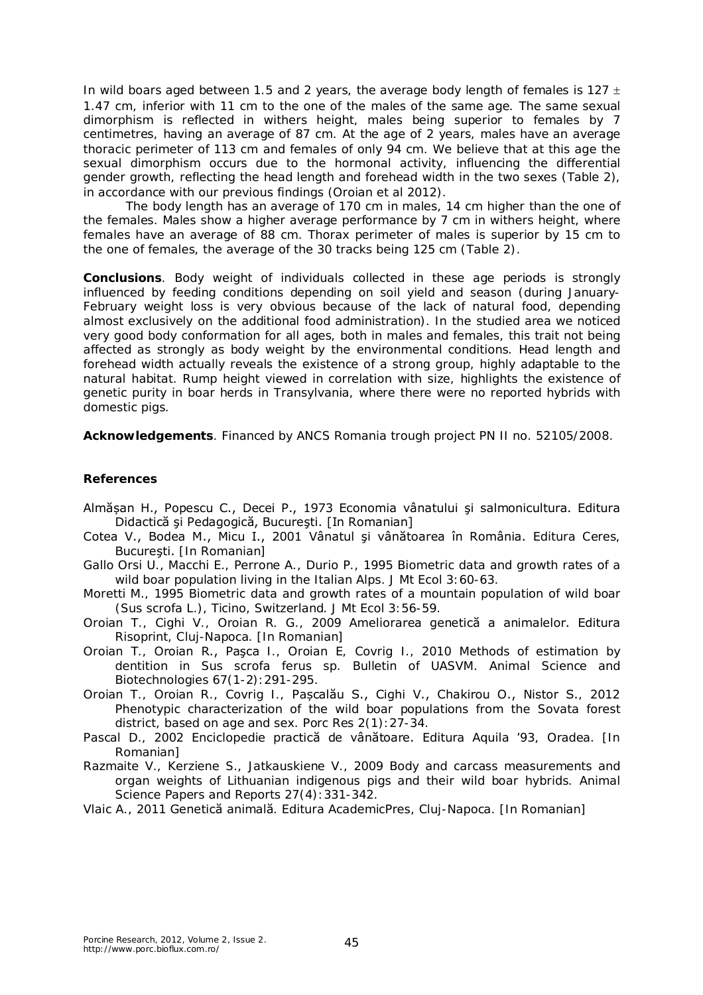In wild boars aged between 1.5 and 2 years, the average body length of females is 127  $\pm$ 1.47 cm, inferior with 11 cm to the one of the males of the same age. The same sexual dimorphism is reflected in withers height, males being superior to females by 7 centimetres, having an average of 87 cm. At the age of 2 years, males have an average thoracic perimeter of 113 cm and females of only 94 cm. We believe that at this age the sexual dimorphism occurs due to the hormonal activity, influencing the differential gender growth, reflecting the head length and forehead width in the two sexes (Table 2), in accordance with our previous findings (Oroian et al 2012).

The body length has an average of 170 cm in males, 14 cm higher than the one of the females. Males show a higher average performance by 7 cm in withers height, where females have an average of 88 cm. Thorax perimeter of males is superior by 15 cm to the one of females, the average of the 30 tracks being 125 cm (Table 2).

**Conclusions**. Body weight of individuals collected in these age periods is strongly influenced by feeding conditions depending on soil yield and season (during January-February weight loss is very obvious because of the lack of natural food, depending almost exclusively on the additional food administration). In the studied area we noticed very good body conformation for all ages, both in males and females, this trait not being affected as strongly as body weight by the environmental conditions. Head length and forehead width actually reveals the existence of a strong group, highly adaptable to the natural habitat. Rump height viewed in correlation with size, highlights the existence of genetic purity in boar herds in Transylvania, where there were no reported hybrids with domestic pigs.

**Acknowledgements**. Financed by ANCS Romania trough project PN II no. 52105/2008.

## **References**

- Almășan H., Popescu C., Decei P., 1973 Economia vânatului şi salmonicultura. Editura Didactică şi Pedagogică, Bucureşti. [In Romanian]
- Cotea V., Bodea M., Micu I., 2001 Vânatul şi vânătoarea în România. Editura Ceres, Bucureşti. [In Romanian]
- Gallo Orsi U., Macchi E., Perrone A., Durio P., 1995 Biometric data and growth rates of a wild boar population living in the Italian Alps. J Mt Ecol 3:60-63.
- Moretti M., 1995 Biometric data and growth rates of a mountain population of wild boar (*Sus scrofa* L.), Ticino, Switzerland. J Mt Ecol 3:56-59.
- Oroian T., Cighi V., Oroian R. G., 2009 Ameliorarea genetică a animalelor. Editura Risoprint, Cluj-Napoca. [In Romanian]
- Oroian T., Oroian R., Paşca I., Oroian E, Covrig I., 2010 Methods of estimation by dentition in *Sus scrofa ferus* sp. Bulletin of UASVM. Animal Science and Biotechnologies 67(1-2):291-295.
- Oroian T., Oroian R., Covrig I., Pașcalău S., Cighi V., Chakirou O., Nistor S., 2012 Phenotypic characterization of the wild boar populations from the Sovata forest district, based on age and sex. Porc Res 2(1):27-34.
- Pascal D., 2002 Enciclopedie practică de vânătoare. Editura Aquila '93, Oradea. [In Romanian]
- Razmaite V., Kerziene S., Jatkauskiene V., 2009 Body and carcass measurements and organ weights of Lithuanian indigenous pigs and their wild boar hybrids. Animal Science Papers and Reports 27(4): 331-342.
- Vlaic A., 2011 Genetică animală. Editura AcademicPres, Cluj-Napoca. [In Romanian]